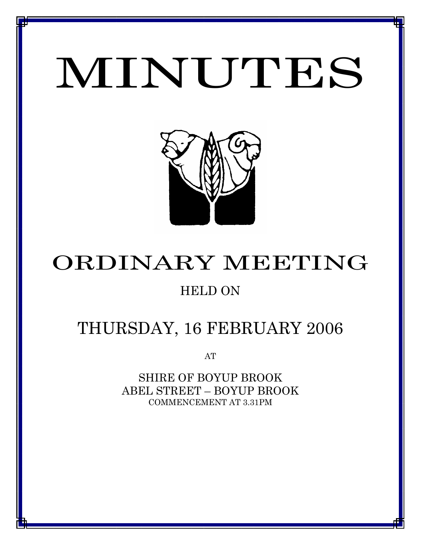# MINUTES

*MINUTES OF THE ORDINARY MEETING OF COUNCIL HELD ON 16 FEBRUARY 2006*



# ORDINARY MEETING

## HELD ON

# THURSDAY, 16 FEBRUARY 2006

AT

SHIRE OF BOYUP BROOK ABEL STREET – BOYUP BROOK COMMENCEMENT AT 3.31PM

<u>1 - Johann Johann Barbara, martxa a shekara 19</u>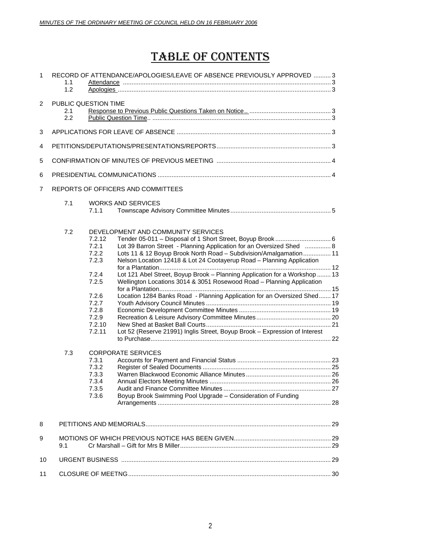# TABLE OF CONTENTS

| $\mathbf{1}$   | RECORD OF ATTENDANCE/APOLOGIES/LEAVE OF ABSENCE PREVIOUSLY APPROVED  3<br>1.1<br>1.2 |                                                                                                                                                                   |                                                                                                                                                                                                                                                                                                                                                                                                                                                                                                                                                                                                                                                                        |  |
|----------------|--------------------------------------------------------------------------------------|-------------------------------------------------------------------------------------------------------------------------------------------------------------------|------------------------------------------------------------------------------------------------------------------------------------------------------------------------------------------------------------------------------------------------------------------------------------------------------------------------------------------------------------------------------------------------------------------------------------------------------------------------------------------------------------------------------------------------------------------------------------------------------------------------------------------------------------------------|--|
| $\overline{2}$ | PUBLIC QUESTION TIME<br>2.1<br>2.2                                                   |                                                                                                                                                                   |                                                                                                                                                                                                                                                                                                                                                                                                                                                                                                                                                                                                                                                                        |  |
| 3              |                                                                                      |                                                                                                                                                                   |                                                                                                                                                                                                                                                                                                                                                                                                                                                                                                                                                                                                                                                                        |  |
| 4              |                                                                                      |                                                                                                                                                                   |                                                                                                                                                                                                                                                                                                                                                                                                                                                                                                                                                                                                                                                                        |  |
| 5              |                                                                                      |                                                                                                                                                                   |                                                                                                                                                                                                                                                                                                                                                                                                                                                                                                                                                                                                                                                                        |  |
| 6              |                                                                                      |                                                                                                                                                                   |                                                                                                                                                                                                                                                                                                                                                                                                                                                                                                                                                                                                                                                                        |  |
| $\overline{7}$ |                                                                                      |                                                                                                                                                                   | REPORTS OF OFFICERS AND COMMITTEES                                                                                                                                                                                                                                                                                                                                                                                                                                                                                                                                                                                                                                     |  |
|                | 7.1                                                                                  | 7.1.1                                                                                                                                                             | <b>WORKS AND SERVICES</b>                                                                                                                                                                                                                                                                                                                                                                                                                                                                                                                                                                                                                                              |  |
|                | 7.2<br>7.3                                                                           | 7.2.12<br>7.2.1<br>7.2.2<br>7.2.3<br>7.2.4<br>7.2.5<br>7.2.6<br>7.2.7<br>7.2.8<br>7.2.9<br>7.2.10<br>7.2.11<br>7.3.1<br>7.3.2<br>7.3.3<br>7.3.4<br>7.3.5<br>7.3.6 | DEVELOPMENT AND COMMUNITY SERVICES<br>Lot 39 Barron Street - Planning Application for an Oversized Shed  8<br>Lots 11 & 12 Boyup Brook North Road - Subdivision/Amalgamation 11<br>Nelson Location 12418 & Lot 24 Cootayerup Road - Planning Application<br>Lot 121 Abel Street, Boyup Brook - Planning Application for a Workshop  13<br>Wellington Locations 3014 & 3051 Rosewood Road - Planning Application<br>Location 1284 Banks Road - Planning Application for an Oversized Shed 17<br>Lot 52 (Reserve 21991) Inglis Street, Boyup Brook - Expression of Interest<br><b>CORPORATE SERVICES</b><br>Boyup Brook Swimming Pool Upgrade - Consideration of Funding |  |
| 8              |                                                                                      |                                                                                                                                                                   |                                                                                                                                                                                                                                                                                                                                                                                                                                                                                                                                                                                                                                                                        |  |
| 9              | 9.1                                                                                  |                                                                                                                                                                   |                                                                                                                                                                                                                                                                                                                                                                                                                                                                                                                                                                                                                                                                        |  |
| 10             |                                                                                      |                                                                                                                                                                   |                                                                                                                                                                                                                                                                                                                                                                                                                                                                                                                                                                                                                                                                        |  |
| 11             |                                                                                      |                                                                                                                                                                   |                                                                                                                                                                                                                                                                                                                                                                                                                                                                                                                                                                                                                                                                        |  |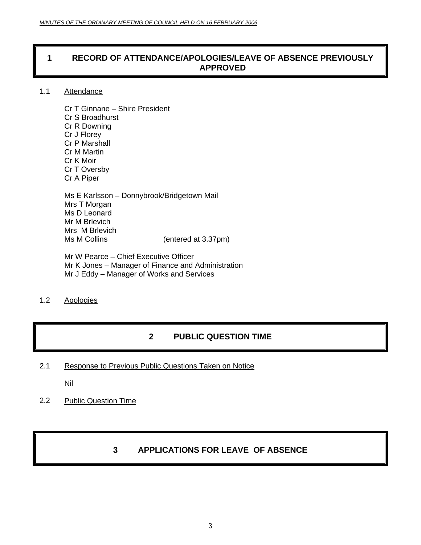### **1 RECORD OF ATTENDANCE/APOLOGIES/LEAVE OF ABSENCE PREVIOUSLY APPROVED**

#### 1.1 Attendance

Cr T Ginnane – Shire President Cr S Broadhurst Cr R Downing Cr J Florey Cr P Marshall Cr M Martin Cr K Moir Cr T Oversby Cr A Piper Ms E Karlsson – Donnybrook/Bridgetown Mail Mrs T Morgan Ms D Leonard

Mr M Brlevich Mrs M Brlevich<br>Ms M Collins

 $($ entered at  $3.37$ pm $)$ 

Mr W Pearce – Chief Executive Officer Mr K Jones – Manager of Finance and Administration Mr J Eddy – Manager of Works and Services

#### 1.2 Apologies

### **2 PUBLIC QUESTION TIME**

2.1 Response to Previous Public Questions Taken on Notice

Nil

2.2 Public Question Time

### **3 APPLICATIONS FOR LEAVE OF ABSENCE**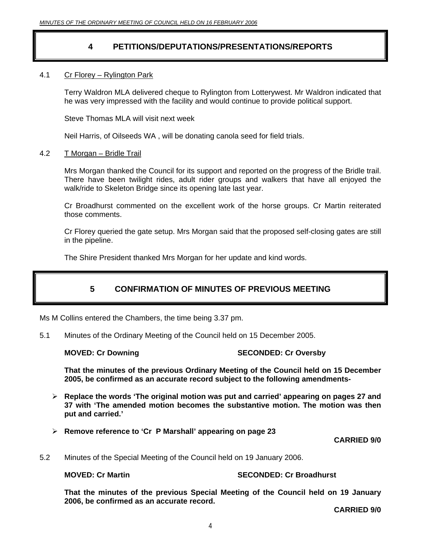### **4 PETITIONS/DEPUTATIONS/PRESENTATIONS/REPORTS**

#### 4.1 Cr Florey – Rylington Park

 Terry Waldron MLA delivered cheque to Rylington from Lotterywest. Mr Waldron indicated that he was very impressed with the facility and would continue to provide political support.

Steve Thomas MLA will visit next week

Neil Harris, of Oilseeds WA , will be donating canola seed for field trials.

#### 4.2 T Morgan – Bridle Trail

Mrs Morgan thanked the Council for its support and reported on the progress of the Bridle trail. There have been twilight rides, adult rider groups and walkers that have all enjoyed the walk/ride to Skeleton Bridge since its opening late last year.

Cr Broadhurst commented on the excellent work of the horse groups. Cr Martin reiterated those comments.

Cr Florey queried the gate setup. Mrs Morgan said that the proposed self-closing gates are still in the pipeline.

The Shire President thanked Mrs Morgan for her update and kind words.

### **5 CONFIRMATION OF MINUTES OF PREVIOUS MEETING**

Ms M Collins entered the Chambers, the time being 3.37 pm.

5.1 Minutes of the Ordinary Meeting of the Council held on 15 December 2005.

#### **MOVED: Cr Downing The SECONDED: Cr Oversby**

**That the minutes of the previous Ordinary Meeting of the Council held on 15 December 2005, be confirmed as an accurate record subject to the following amendments-** 

- ¾ **Replace the words 'The original motion was put and carried' appearing on pages 27 and 37 with 'The amended motion becomes the substantive motion. The motion was then put and carried.'**
- ¾ **Remove reference to 'Cr P Marshall' appearing on page 23**

**CARRIED 9/0** 

5.2 Minutes of the Special Meeting of the Council held on 19 January 2006.

#### **MOVED: Cr Martin SECONDED: Cr Broadhurst**

**That the minutes of the previous Special Meeting of the Council held on 19 January 2006, be confirmed as an accurate record.**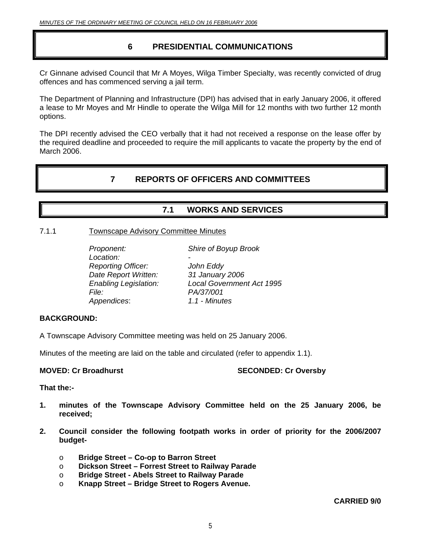### **6 PRESIDENTIAL COMMUNICATIONS**

Cr Ginnane advised Council that Mr A Moyes, Wilga Timber Specialty, was recently convicted of drug offences and has commenced serving a jail term.

The Department of Planning and Infrastructure (DPI) has advised that in early January 2006, it offered a lease to Mr Moyes and Mr Hindle to operate the Wilga Mill for 12 months with two further 12 month options.

The DPI recently advised the CEO verbally that it had not received a response on the lease offer by the required deadline and proceeded to require the mill applicants to vacate the property by the end of March 2006.

### **7 REPORTS OF OFFICERS AND COMMITTEES**

### **7.1 WORKS AND SERVICES**

#### 7.1.1 Townscape Advisory Committee Minutes

| Proponent:<br>Location:<br><b>Reporting Officer:</b> | Shire of Boyup Brook<br>John Eddy |
|------------------------------------------------------|-----------------------------------|
| Date Report Written:                                 | 31 January 2006                   |
| <b>Enabling Legislation:</b>                         | <b>Local Government Act 1995</b>  |
| <i>File:</i>                                         | PA/37/001                         |
| Appendices:                                          | 1.1 - Minutes                     |

#### **BACKGROUND:**

A Townscape Advisory Committee meeting was held on 25 January 2006.

Minutes of the meeting are laid on the table and circulated (refer to appendix 1.1).

#### **MOVED: Cr Broadhurst SECONDED: Cr Oversby**

**That the:-** 

- **1. minutes of the Townscape Advisory Committee held on the 25 January 2006, be received;**
- **2. Council consider the following footpath works in order of priority for the 2006/2007 budget**
	- o **Bridge Street Co-op to Barron Street**
	- o **Dickson Street Forrest Street to Railway Parade**
	- o **Bridge Street Abels Street to Railway Parade**
	- o **Knapp Street Bridge Street to Rogers Avenue.**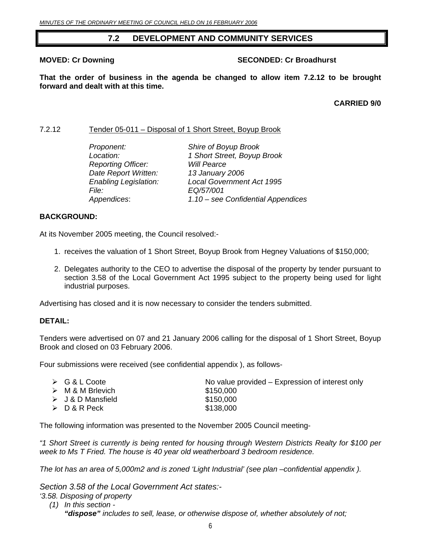### **7.2 DEVELOPMENT AND COMMUNITY SERVICES**

#### **MOVED: Cr Downing Case 2018 10 SECONDED: Cr Broadhurst**

**That the order of business in the agenda be changed to allow item 7.2.12 to be brought forward and dealt with at this time.** 

**CARRIED 9/0** 

#### 7.2.12 Tender 05-011 – Disposal of 1 Short Street, Boyup Brook

| Proponent:                   | Shire of Boyup Brook               |
|------------------------------|------------------------------------|
| Location:                    | 1 Short Street, Boyup Brook        |
| <b>Reporting Officer:</b>    | <b>Will Pearce</b>                 |
| Date Report Written:         | 13 January 2006                    |
| <b>Enabling Legislation:</b> | <b>Local Government Act 1995</b>   |
| <i>File:</i>                 | EQ/57/001                          |
| Appendices:                  | 1.10 – see Confidential Appendices |

#### **BACKGROUND:**

At its November 2005 meeting, the Council resolved:-

- 1. receives the valuation of 1 Short Street, Boyup Brook from Hegney Valuations of \$150,000;
- 2. Delegates authority to the CEO to advertise the disposal of the property by tender pursuant to section 3.58 of the Local Government Act 1995 subject to the property being used for light industrial purposes.

Advertising has closed and it is now necessary to consider the tenders submitted.

#### **DETAIL:**

Tenders were advertised on 07 and 21 January 2006 calling for the disposal of 1 Short Street, Boyup Brook and closed on 03 February 2006.

Four submissions were received (see confidential appendix ), as follows-

| $\triangleright$ G & L Coote     | No value provided – Expression of interest only |
|----------------------------------|-------------------------------------------------|
| $\triangleright$ M & M Brlevich  | \$150,000                                       |
| $\triangleright$ J & D Mansfield | \$150,000                                       |
| ≻ D & R Peck                     | \$138,000                                       |
|                                  |                                                 |

The following information was presented to the November 2005 Council meeting-

*"1 Short Street is currently is being rented for housing through Western Districts Realty for \$100 per week to Ms T Fried. The house is 40 year old weatherboard 3 bedroom residence.* 

*The lot has an area of 5,000m2 and is zoned 'Light Industrial' (see plan –confidential appendix ).* 

*Section 3.58 of the Local Government Act states:- '3.58. Disposing of property* 

 *(1) In this section - "dispose" includes to sell, lease, or otherwise dispose of, whether absolutely of not;*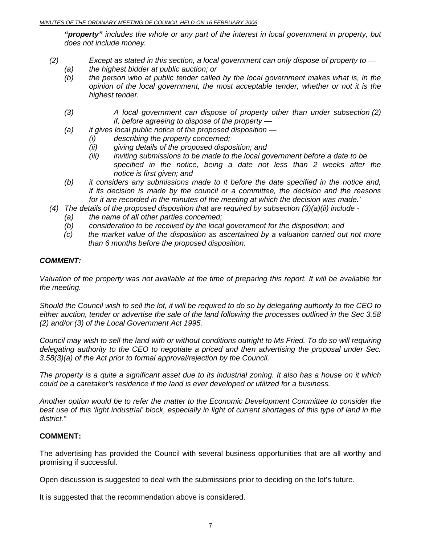#### *MINUTES OF THE ORDINARY MEETING OF COUNCIL HELD ON 16 FEBRUARY 2006*

*"property" includes the whole or any part of the interest in local government in property, but does not include money.* 

- *(2) Except as stated in this section, a local government can only dispose of property to* 
	- *(a) the highest bidder at public auction; or*
	- *(b) the person who at public tender called by the local government makes what is, in the opinion of the local government, the most acceptable tender, whether or not it is the highest tender.*
	- *(3) A local government can dispose of property other than under subsection (2) if, before agreeing to dispose of the property —*
	- *(a) it gives local public notice of the proposed disposition* 
		- *(i) describing the property concerned;*
		- *(ii) giving details of the proposed disposition; and*
		- *(iii) inviting submissions to be made to the local government before a date to be specified in the notice, being a date not less than 2 weeks after the notice is first given; and*
	- *(b) it considers any submissions made to it before the date specified in the notice and, if its decision is made by the council or a committee, the decision and the reasons for it are recorded in the minutes of the meeting at which the decision was made.'*
- *(4) The details of the proposed disposition that are required by subsection (3)(a)(ii) include* 
	- *(a) the name of all other parties concerned;*
	- *(b) consideration to be received by the local government for the disposition; and*
	- *(c) the market value of the disposition as ascertained by a valuation carried out not more than 6 months before the proposed disposition.*

#### *COMMENT:*

*Valuation of the property was not available at the time of preparing this report. It will be available for the meeting.* 

*Should the Council wish to sell the lot, it will be required to do so by delegating authority to the CEO to either auction, tender or advertise the sale of the land following the processes outlined in the Sec 3.58 (2) and/or (3) of the Local Government Act 1995.* 

*Council may wish to sell the land with or without conditions outright to Ms Fried. To do so will requiring delegating authority to the CEO to negotiate a priced and then advertising the proposal under Sec. 3.58(3)(a) of the Act prior to formal approval/rejection by the Council.* 

*The property is a quite a significant asset due to its industrial zoning. It also has a house on it which could be a caretaker's residence if the land is ever developed or utilized for a business.* 

*Another option would be to refer the matter to the Economic Development Committee to consider the*  best use of this 'light industrial' block, especially in light of current shortages of this type of land in the *district."* 

#### **COMMENT:**

The advertising has provided the Council with several business opportunities that are all worthy and promising if successful.

Open discussion is suggested to deal with the submissions prior to deciding on the lot's future.

It is suggested that the recommendation above is considered.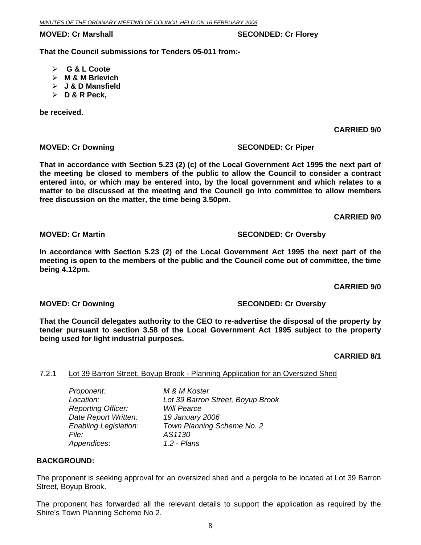### **MOVED: Cr Marshall SECONDED: Cr Florey ATTLE SECONDED: Cr Florey ATTLESS**

**That the Council submissions for Tenders 05-011 from:-** 

- ¾ **G & L Coote**
- ¾ **M & M Brlevich**
- ¾ **J & D Mansfield**
- ¾ **D & R Peck,**

**be received.** 

**CARRIED 9/0** 

### **MOVED: Cr Downing Case Conduct 2 SECONDED: Cr Piper SECONDED: Cr Piper**

**That in accordance with Section 5.23 (2) (c) of the Local Government Act 1995 the next part of the meeting be closed to members of the public to allow the Council to consider a contract entered into, or which may be entered into, by the local government and which relates to a matter to be discussed at the meeting and the Council go into committee to allow members free discussion on the matter, the time being 3.50pm.** 

**CARRIED 9/0** 

**MOVED: Cr Martin SECONDED: Cr Oversby** 

### **In accordance with Section 5.23 (2) of the Local Government Act 1995 the next part of the meeting is open to the members of the public and the Council come out of committee, the time being 4.12pm.**

**CARRIED 9/0** 

**MOVED: Cr Downing SECONDED: Cr Oversby** 

### **That the Council delegates authority to the CEO to re-advertise the disposal of the property by tender pursuant to section 3.58 of the Local Government Act 1995 subject to the property being used for light industrial purposes.**

**CARRIED 8/1** 

### 7.2.1 Lot 39 Barron Street, Boyup Brook - Planning Application for an Oversized Shed

*Proponent: M & M Koster Location: Lot 39 Barron Street, Boyup Brook Reporting Officer: Will Pearce Date Report Written: 19 January 2006 Enabling Legislation: Town Planning Scheme No. 2 File: AS1130 Appendices*: *1.2 - Plans* 

### **BACKGROUND:**

The proponent is seeking approval for an oversized shed and a pergola to be located at Lot 39 Barron Street, Boyup Brook.

The proponent has forwarded all the relevant details to support the application as required by the Shire's Town Planning Scheme No 2.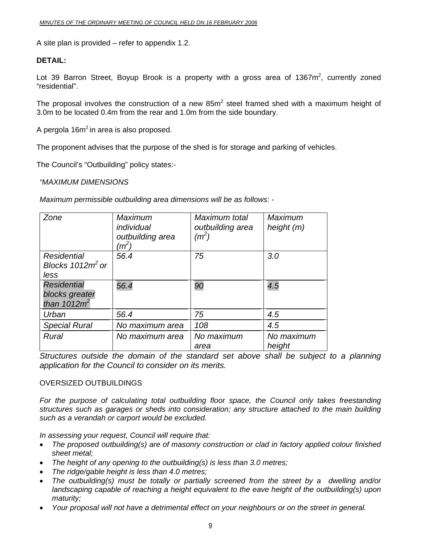A site plan is provided – refer to appendix 1.2.

#### **DETAIL:**

Lot 39 Barron Street, Boyup Brook is a property with a gross area of 1367 $m^2$ , currently zoned "residential".

The proposal involves the construction of a new  $85m<sup>2</sup>$  steel framed shed with a maximum height of 3.0m to be located 0.4m from the rear and 1.0m from the side boundary.

A pergola  $16m^2$  in area is also proposed.

The proponent advises that the purpose of the shed is for storage and parking of vehicles.

The Council's "Outbuilding" policy states:-

*"MAXIMUM DIMENSIONS* 

*Maximum permissible outbuilding area dimensions will be as follows: -* 

| Zone                 | Maximum<br>individual<br>outbuilding area<br>$(m^2)$ | Maximum total<br>outbuilding area<br>$(m^2)$ | Maximum<br>height $(m)$ |
|----------------------|------------------------------------------------------|----------------------------------------------|-------------------------|
| <b>Residential</b>   | 56.4                                                 | 75                                           | 3.0                     |
| Blocks $1012m^2$ or  |                                                      |                                              |                         |
| less                 |                                                      |                                              |                         |
| <b>Residential</b>   | 56.4                                                 | 90                                           | 4.5                     |
| blocks greater       |                                                      |                                              |                         |
| than $1012m^2$       |                                                      |                                              |                         |
| Urban                | 56.4                                                 | 75                                           | 4.5                     |
| <b>Special Rural</b> | No maximum area                                      | 108                                          | 4.5                     |
| Rural                | No maximum area                                      | No maximum<br>area                           | No maximum<br>height    |

*Structures outside the domain of the standard set above shall be subject to a planning application for the Council to consider on its merits.* 

#### OVERSIZED OUTBUILDINGS

For the purpose of calculating total outbuilding floor space, the Council only takes freestanding *structures such as garages or sheds into consideration; any structure attached to the main building such as a verandah or carport would be excluded.* 

*In assessing your request, Council will require that:* 

- *The proposed outbuilding(s) are of masonry construction or clad in factory applied colour finished sheet metal;*
- *The height of any opening to the outbuilding(s) is less than 3.0 metres;*
- *The ridge/gable height is less than 4.0 metres;*
- *The outbuilding(s) must be totally or partially screened from the street by a dwelling and/or landscaping capable of reaching a height equivalent to the eave height of the outbuilding(s) upon maturity;*
- *Your proposal will not have a detrimental effect on your neighbours or on the street in general.*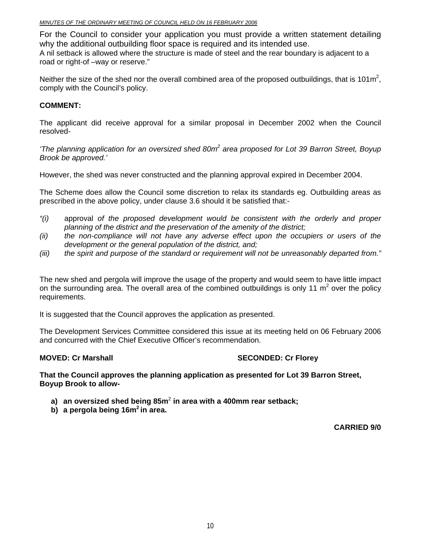#### *MINUTES OF THE ORDINARY MEETING OF COUNCIL HELD ON 16 FEBRUARY 2006*

For the Council to consider your application you must provide a written statement detailing why the additional outbuilding floor space is required and its intended use.

A nil setback is allowed where the structure is made of steel and the rear boundary is adjacent to a road or right-of –way or reserve."

Neither the size of the shed nor the overall combined area of the proposed outbuildings, that is 101m<sup>2</sup>, comply with the Council's policy.

#### **COMMENT:**

The applicant did receive approval for a similar proposal in December 2002 when the Council resolved-

*'The planning application for an oversized shed 80m<sup>2</sup> area proposed for Lot 39 Barron Street, Boyup Brook be approved.'* 

However, the shed was never constructed and the planning approval expired in December 2004.

The Scheme does allow the Council some discretion to relax its standards eg. Outbuilding areas as prescribed in the above policy, under clause 3.6 should it be satisfied that:-

- *"(i)* approval *of the proposed development would be consistent with the orderly and proper planning of the district and the preservation of the amenity of the district;*
- *(ii) the non-compliance will not have any adverse effect upon the occupiers or users of the development or the general population of the district, and;*
- *(iii) the spirit and purpose of the standard or requirement will not be unreasonably departed from."*

The new shed and pergola will improve the usage of the property and would seem to have little impact on the surrounding area. The overall area of the combined outbuildings is only 11  $m^2$  over the policy requirements.

It is suggested that the Council approves the application as presented.

The Development Services Committee considered this issue at its meeting held on 06 February 2006 and concurred with the Chief Executive Officer's recommendation.

#### **MOVED: Cr Marshall SECONDED: Cr Florey ATTLE SECONDED: Cr Florey ATTLE**

**That the Council approves the planning application as presented for Lot 39 Barron Street, Boyup Brook to allow-**

- **a) an oversized shed being 85m**<sup>2</sup> **in area with a 400mm rear setback;**
- **b) a pergola being 16m2 in area.**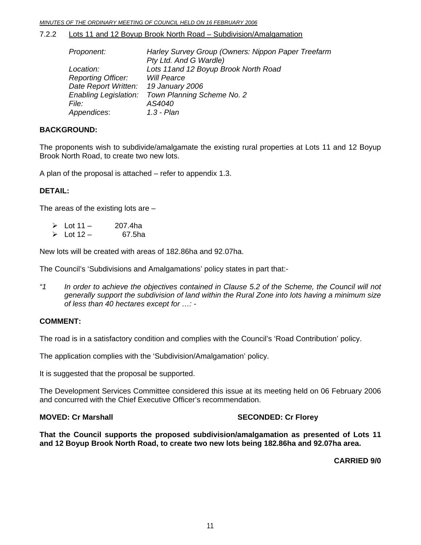#### 7.2.2 Lots 11 and 12 Boyup Brook North Road – Subdivision/Amalgamation

| Proponent:                | Harley Survey Group (Owners: Nippon Paper Treefarm |
|---------------------------|----------------------------------------------------|
|                           | Pty Ltd. And G Wardle)                             |
| Location:                 | Lots 11 and 12 Boyup Brook North Road              |
| <b>Reporting Officer:</b> | <b>Will Pearce</b>                                 |
| Date Report Written:      | 19 January 2006                                    |
| Enabling Legislation:     | Town Planning Scheme No. 2                         |
| <i>File:</i>              | AS4040                                             |
| Appendices:               | $1.3 - Plan$                                       |
|                           |                                                    |

#### **BACKGROUND:**

The proponents wish to subdivide/amalgamate the existing rural properties at Lots 11 and 12 Boyup Brook North Road, to create two new lots.

A plan of the proposal is attached – refer to appendix 1.3.

#### **DETAIL:**

The areas of the existing lots are  $-$ 

| $\triangleright$ Lot 11 - | 207.4ha |
|---------------------------|---------|
| $\triangleright$ Lot 12 – | 67.5ha  |

New lots will be created with areas of 182.86ha and 92.07ha.

The Council's 'Subdivisions and Amalgamations' policy states in part that:-

*"1 In order to achieve the objectives contained in Clause 5.2 of the Scheme, the Council will not generally support the subdivision of land within the Rural Zone into lots having a minimum size of less than 40 hectares except for …: -* 

#### **COMMENT:**

The road is in a satisfactory condition and complies with the Council's 'Road Contribution' policy.

The application complies with the 'Subdivision/Amalgamation' policy.

It is suggested that the proposal be supported.

The Development Services Committee considered this issue at its meeting held on 06 February 2006 and concurred with the Chief Executive Officer's recommendation.

**MOVED: Cr Marshall SECONDED: Cr Florey ATTLE SECONDED: Cr Florey ATTLESS** 

**That the Council supports the proposed subdivision/amalgamation as presented of Lots 11 and 12 Boyup Brook North Road, to create two new lots being 182.86ha and 92.07ha area.**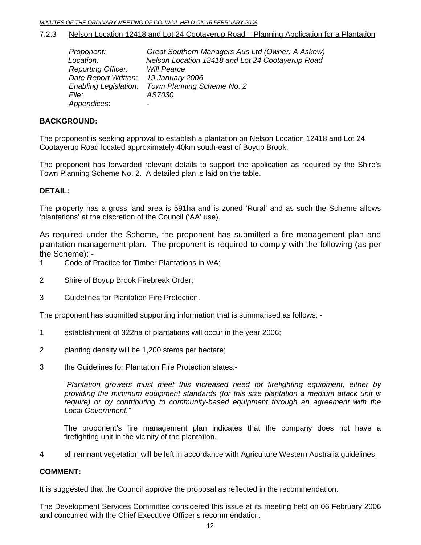#### 7.2.3 Nelson Location 12418 and Lot 24 Cootayerup Road – Planning Application for a Plantation

| Proponent:                   | Great Southern Managers Aus Ltd (Owner: A Askew) |
|------------------------------|--------------------------------------------------|
| Location:                    | Nelson Location 12418 and Lot 24 Cootayerup Road |
| <b>Reporting Officer:</b>    | <b>Will Pearce</b>                               |
| Date Report Written:         | 19 January 2006                                  |
| <b>Enabling Legislation:</b> | Town Planning Scheme No. 2                       |
| <i>File:</i>                 | AS7030                                           |
| Appendices:                  |                                                  |

#### **BACKGROUND:**

The proponent is seeking approval to establish a plantation on Nelson Location 12418 and Lot 24 Cootayerup Road located approximately 40km south-east of Boyup Brook.

The proponent has forwarded relevant details to support the application as required by the Shire's Town Planning Scheme No. 2. A detailed plan is laid on the table.

#### **DETAIL:**

The property has a gross land area is 591ha and is zoned 'Rural' and as such the Scheme allows 'plantations' at the discretion of the Council ('AA' use).

As required under the Scheme, the proponent has submitted a fire management plan and plantation management plan. The proponent is required to comply with the following (as per the Scheme): -

- 1 Code of Practice for Timber Plantations in WA;
- 2 Shire of Boyup Brook Firebreak Order;
- 3 Guidelines for Plantation Fire Protection.

The proponent has submitted supporting information that is summarised as follows: -

- 1 establishment of 322ha of plantations will occur in the year 2006;
- 2 planting density will be 1,200 stems per hectare;
- 3 the Guidelines for Plantation Fire Protection states:-

"*Plantation growers must meet this increased need for firefighting equipment, either by providing the minimum equipment standards (for this size plantation a medium attack unit is require) or by contributing to community-based equipment through an agreement with the Local Government."* 

 The proponent's fire management plan indicates that the company does not have a firefighting unit in the vicinity of the plantation.

4 all remnant vegetation will be left in accordance with Agriculture Western Australia guidelines.

#### **COMMENT:**

It is suggested that the Council approve the proposal as reflected in the recommendation.

The Development Services Committee considered this issue at its meeting held on 06 February 2006 and concurred with the Chief Executive Officer's recommendation.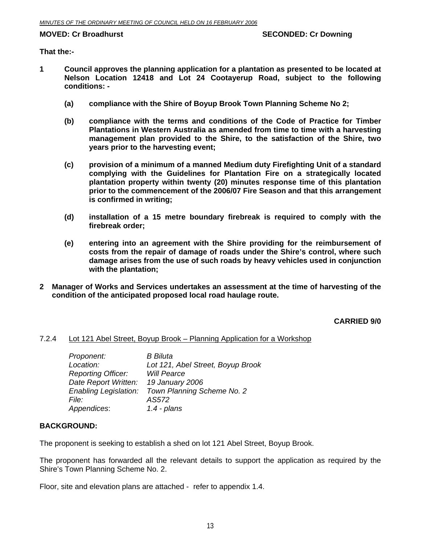**That the:-** 

- **1 Council approves the planning application for a plantation as presented to be located at Nelson Location 12418 and Lot 24 Cootayerup Road, subject to the following conditions: -** 
	- **(a) compliance with the Shire of Boyup Brook Town Planning Scheme No 2;**
	- **(b) compliance with the terms and conditions of the Code of Practice for Timber Plantations in Western Australia as amended from time to time with a harvesting management plan provided to the Shire, to the satisfaction of the Shire, two years prior to the harvesting event;**
	- **(c) provision of a minimum of a manned Medium duty Firefighting Unit of a standard complying with the Guidelines for Plantation Fire on a strategically located plantation property within twenty (20) minutes response time of this plantation prior to the commencement of the 2006/07 Fire Season and that this arrangement is confirmed in writing;**
	- **(d) installation of a 15 metre boundary firebreak is required to comply with the firebreak order;**
	- **(e) entering into an agreement with the Shire providing for the reimbursement of costs from the repair of damage of roads under the Shire's control, where such damage arises from the use of such roads by heavy vehicles used in conjunction with the plantation;**
- **2 Manager of Works and Services undertakes an assessment at the time of harvesting of the condition of the anticipated proposed local road haulage route.**

**CARRIED 9/0** 

#### 7.2.4 Lot 121 Abel Street, Boyup Brook – Planning Application for a Workshop

| Proponent:                   | <b>B</b> Biluta                   |
|------------------------------|-----------------------------------|
| Location:                    | Lot 121, Abel Street, Boyup Brook |
| <b>Reporting Officer:</b>    | <b>Will Pearce</b>                |
| Date Report Written:         | 19 January 2006                   |
| <b>Enabling Legislation:</b> | Town Planning Scheme No. 2        |
| <i>File:</i>                 | AS572                             |
| Appendices:                  | $1.4$ - plans                     |
|                              |                                   |

#### **BACKGROUND:**

The proponent is seeking to establish a shed on lot 121 Abel Street, Boyup Brook.

The proponent has forwarded all the relevant details to support the application as required by the Shire's Town Planning Scheme No. 2.

Floor, site and elevation plans are attached - refer to appendix 1.4.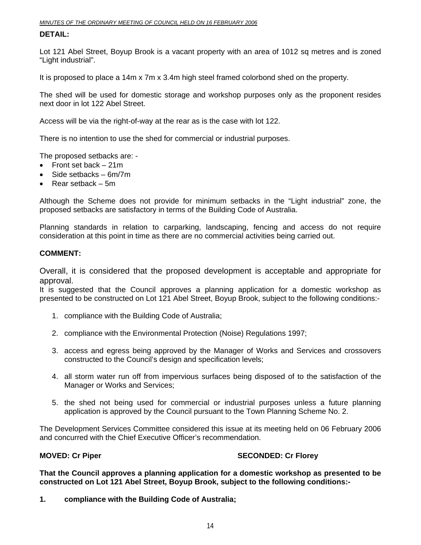#### **DETAIL:**

Lot 121 Abel Street, Boyup Brook is a vacant property with an area of 1012 sq metres and is zoned "Light industrial".

It is proposed to place a 14m x 7m x 3.4m high steel framed colorbond shed on the property.

The shed will be used for domestic storage and workshop purposes only as the proponent resides next door in lot 122 Abel Street.

Access will be via the right-of-way at the rear as is the case with lot 122.

There is no intention to use the shed for commercial or industrial purposes.

The proposed setbacks are: -

- Front set back 21m
- Side setbacks 6m/7m
- Rear setback 5m

Although the Scheme does not provide for minimum setbacks in the "Light industrial" zone, the proposed setbacks are satisfactory in terms of the Building Code of Australia.

Planning standards in relation to carparking, landscaping, fencing and access do not require consideration at this point in time as there are no commercial activities being carried out.

#### **COMMENT:**

Overall, it is considered that the proposed development is acceptable and appropriate for approval.

It is suggested that the Council approves a planning application for a domestic workshop as presented to be constructed on Lot 121 Abel Street, Boyup Brook, subject to the following conditions:-

- 1. compliance with the Building Code of Australia;
- 2. compliance with the Environmental Protection (Noise) Regulations 1997;
- 3. access and egress being approved by the Manager of Works and Services and crossovers constructed to the Council's design and specification levels;
- 4. all storm water run off from impervious surfaces being disposed of to the satisfaction of the Manager or Works and Services;
- 5. the shed not being used for commercial or industrial purposes unless a future planning application is approved by the Council pursuant to the Town Planning Scheme No. 2.

The Development Services Committee considered this issue at its meeting held on 06 February 2006 and concurred with the Chief Executive Officer's recommendation.

#### **MOVED: Cr Piper SECONDED: Cr Florey ATTLE SECONDED: Cr Florey ATTLE**

**That the Council approves a planning application for a domestic workshop as presented to be constructed on Lot 121 Abel Street, Boyup Brook, subject to the following conditions:-** 

**1. compliance with the Building Code of Australia;**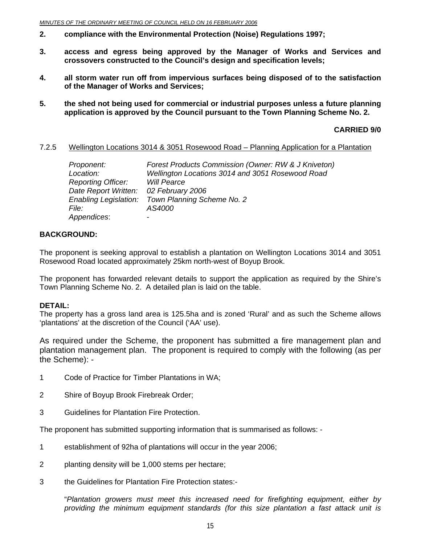- **2. compliance with the Environmental Protection (Noise) Regulations 1997;**
- **3. access and egress being approved by the Manager of Works and Services and crossovers constructed to the Council's design and specification levels;**
- **4. all storm water run off from impervious surfaces being disposed of to the satisfaction of the Manager of Works and Services;**
- **5. the shed not being used for commercial or industrial purposes unless a future planning application is approved by the Council pursuant to the Town Planning Scheme No. 2.**

**CARRIED 9/0** 

#### 7.2.5 Wellington Locations 3014 & 3051 Rosewood Road – Planning Application for a Plantation

| Proponent:                   | Forest Products Commission (Owner: RW & J Kniveton) |
|------------------------------|-----------------------------------------------------|
| Location:                    | Wellington Locations 3014 and 3051 Rosewood Road    |
| <b>Reporting Officer:</b>    | <b>Will Pearce</b>                                  |
| Date Report Written:         | 02 February 2006                                    |
| <b>Enabling Legislation:</b> | Town Planning Scheme No. 2                          |
| <i>File:</i>                 | AS4000                                              |
| Appendices:                  |                                                     |

#### **BACKGROUND:**

The proponent is seeking approval to establish a plantation on Wellington Locations 3014 and 3051 Rosewood Road located approximately 25km north-west of Boyup Brook.

The proponent has forwarded relevant details to support the application as required by the Shire's Town Planning Scheme No. 2. A detailed plan is laid on the table.

#### **DETAIL:**

The property has a gross land area is 125.5ha and is zoned 'Rural' and as such the Scheme allows 'plantations' at the discretion of the Council ('AA' use).

As required under the Scheme, the proponent has submitted a fire management plan and plantation management plan. The proponent is required to comply with the following (as per the Scheme): -

- 1 Code of Practice for Timber Plantations in WA;
- 2 Shire of Boyup Brook Firebreak Order;
- 3 Guidelines for Plantation Fire Protection.

The proponent has submitted supporting information that is summarised as follows: -

- 1 establishment of 92ha of plantations will occur in the year 2006;
- 2 planting density will be 1,000 stems per hectare;
- 3 the Guidelines for Plantation Fire Protection states:-

"*Plantation growers must meet this increased need for firefighting equipment, either by providing the minimum equipment standards (for this size plantation a fast attack unit is*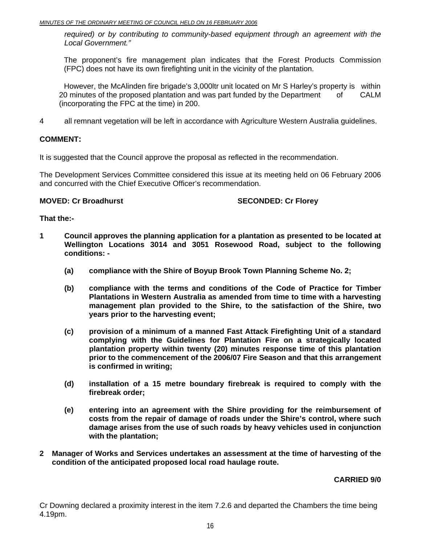*required) or by contributing to community-based equipment through an agreement with the Local Government."* 

 The proponent's fire management plan indicates that the Forest Products Commission (FPC) does not have its own firefighting unit in the vicinity of the plantation.

 However, the McAlinden fire brigade's 3,000ltr unit located on Mr S Harley's property is within 20 minutes of the proposed plantation and was part funded by the Department of CALM (incorporating the FPC at the time) in 200.

4 all remnant vegetation will be left in accordance with Agriculture Western Australia guidelines.

#### **COMMENT:**

It is suggested that the Council approve the proposal as reflected in the recommendation.

The Development Services Committee considered this issue at its meeting held on 06 February 2006 and concurred with the Chief Executive Officer's recommendation.

#### **MOVED: Cr Broadhurst SECONDED: Cr Florey**

#### **That the:-**

- **1 Council approves the planning application for a plantation as presented to be located at Wellington Locations 3014 and 3051 Rosewood Road, subject to the following conditions: -** 
	- **(a) compliance with the Shire of Boyup Brook Town Planning Scheme No. 2;**
	- **(b) compliance with the terms and conditions of the Code of Practice for Timber Plantations in Western Australia as amended from time to time with a harvesting management plan provided to the Shire, to the satisfaction of the Shire, two years prior to the harvesting event;**
	- **(c) provision of a minimum of a manned Fast Attack Firefighting Unit of a standard complying with the Guidelines for Plantation Fire on a strategically located plantation property within twenty (20) minutes response time of this plantation prior to the commencement of the 2006/07 Fire Season and that this arrangement is confirmed in writing;**
	- **(d) installation of a 15 metre boundary firebreak is required to comply with the firebreak order;**
	- **(e) entering into an agreement with the Shire providing for the reimbursement of costs from the repair of damage of roads under the Shire's control, where such damage arises from the use of such roads by heavy vehicles used in conjunction with the plantation;**
- **2 Manager of Works and Services undertakes an assessment at the time of harvesting of the condition of the anticipated proposed local road haulage route.**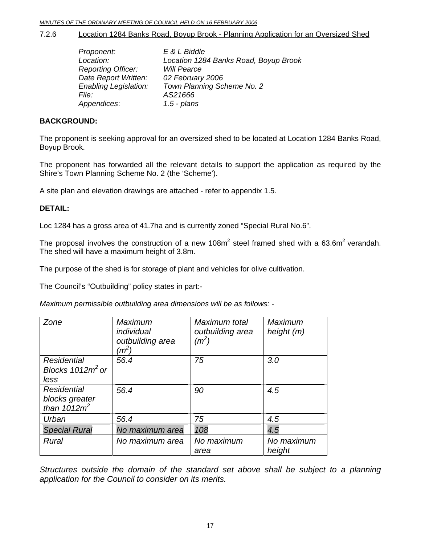7.2.6 Location 1284 Banks Road, Boyup Brook - Planning Application for an Oversized Shed

| Proponent:                   | E & L Biddle                          |
|------------------------------|---------------------------------------|
| Location:                    | Location 1284 Banks Road, Boyup Brook |
| <b>Reporting Officer:</b>    | <b>Will Pearce</b>                    |
| Date Report Written:         | 02 February 2006                      |
| <b>Enabling Legislation:</b> | Town Planning Scheme No. 2            |
| <i>File:</i>                 | AS21666                               |
| Appendices:                  | $1.5$ - plans                         |

#### **BACKGROUND:**

The proponent is seeking approval for an oversized shed to be located at Location 1284 Banks Road, Boyup Brook.

The proponent has forwarded all the relevant details to support the application as required by the Shire's Town Planning Scheme No. 2 (the 'Scheme').

A site plan and elevation drawings are attached - refer to appendix 1.5.

#### **DETAIL:**

Loc 1284 has a gross area of 41.7ha and is currently zoned "Special Rural No.6".

The proposal involves the construction of a new 108m<sup>2</sup> steel framed shed with a 63.6m<sup>2</sup> verandah. The shed will have a maximum height of 3.8m.

The purpose of the shed is for storage of plant and vehicles for olive cultivation.

The Council's "Outbuilding" policy states in part:-

*Maximum permissible outbuilding area dimensions will be as follows: -* 

| Zone                                              | <b>Maximum</b><br>individual<br>outbuilding area<br>$(m^2)$ | Maximum total<br>outbuilding area<br>$(m^2)$ | <b>Maximum</b><br>height (m) |
|---------------------------------------------------|-------------------------------------------------------------|----------------------------------------------|------------------------------|
| <b>Residential</b><br>Blocks $1012m^2$ or<br>less | 56.4                                                        | 75                                           | 3.0                          |
| Residential<br>blocks greater<br>than $1012m^2$   | 56.4                                                        | 90                                           | 4.5                          |
| Urban                                             | 56.4                                                        | 75                                           | 4.5                          |
| <b>Special Rural</b>                              | No maximum area                                             | 108                                          | 4.5                          |
| Rural                                             | No maximum area                                             | No maximum<br>area                           | No maximum<br>height         |

*Structures outside the domain of the standard set above shall be subject to a planning application for the Council to consider on its merits.*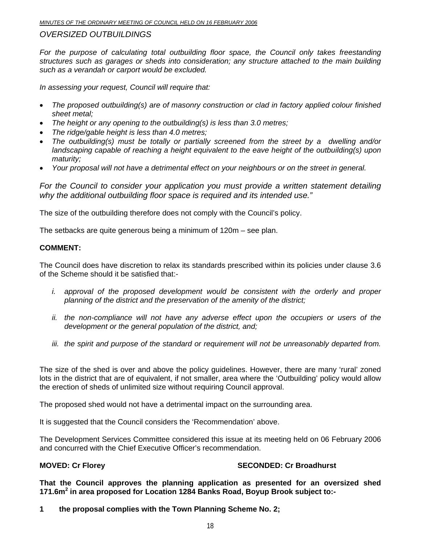### *OVERSIZED OUTBUILDINGS*

For the purpose of calculating total outbuilding floor space, the Council only takes freestanding *structures such as garages or sheds into consideration; any structure attached to the main building such as a verandah or carport would be excluded.* 

*In assessing your request, Council will require that:* 

- *The proposed outbuilding(s) are of masonry construction or clad in factory applied colour finished sheet metal;*
- *The height or any opening to the outbuilding(s) is less than 3.0 metres;*
- *The ridge/gable height is less than 4.0 metres;*
- *The outbuilding(s) must be totally or partially screened from the street by a dwelling and/or landscaping capable of reaching a height equivalent to the eave height of the outbuilding(s) upon maturity;*
- *Your proposal will not have a detrimental effect on your neighbours or on the street in general.*

*For the Council to consider your application you must provide a written statement detailing why the additional outbuilding floor space is required and its intended use."* 

The size of the outbuilding therefore does not comply with the Council's policy.

The setbacks are quite generous being a minimum of 120m – see plan.

#### **COMMENT:**

The Council does have discretion to relax its standards prescribed within its policies under clause 3.6 of the Scheme should it be satisfied that:-

- *i.* approval of the proposed development would be consistent with the orderly and proper *planning of the district and the preservation of the amenity of the district;*
- *ii. the non-compliance will not have any adverse effect upon the occupiers or users of the development or the general population of the district, and;*
- *iii. the spirit and purpose of the standard or requirement will not be unreasonably departed from.*

The size of the shed is over and above the policy guidelines. However, there are many 'rural' zoned lots in the district that are of equivalent, if not smaller, area where the 'Outbuilding' policy would allow the erection of sheds of unlimited size without requiring Council approval.

The proposed shed would not have a detrimental impact on the surrounding area.

It is suggested that the Council considers the 'Recommendation' above.

The Development Services Committee considered this issue at its meeting held on 06 February 2006 and concurred with the Chief Executive Officer's recommendation.

#### **MOVED: Cr Florey Case Conduct 2018 SECONDED: Cr Broadhurst**

**That the Council approves the planning application as presented for an oversized shed 171.6m<sup>2</sup> in area proposed for Location 1284 Banks Road, Boyup Brook subject to:-** 

**1 the proposal complies with the Town Planning Scheme No. 2;**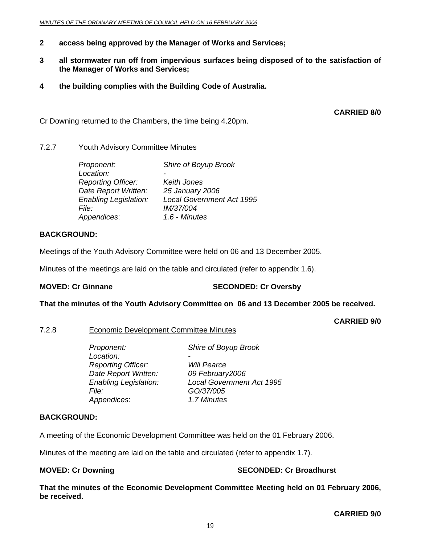- **2 access being approved by the Manager of Works and Services;**
- **3 all stormwater run off from impervious surfaces being disposed of to the satisfaction of the Manager of Works and Services;**
- **4 the building complies with the Building Code of Australia.**

**CARRIED 8/0** 

Cr Downing returned to the Chambers, the time being 4.20pm.

#### 7.2.7 Youth Advisory Committee Minutes

| Proponent:                   | Shire of Boyup Brook             |
|------------------------------|----------------------------------|
| Location:                    |                                  |
| <b>Reporting Officer:</b>    | Keith Jones                      |
| Date Report Written:         | 25 January 2006                  |
| <b>Enabling Legislation:</b> | <b>Local Government Act 1995</b> |
| <i>File:</i>                 | IM/37/004                        |
| Appendices:                  | 1.6 - Minutes                    |

#### **BACKGROUND:**

Meetings of the Youth Advisory Committee were held on 06 and 13 December 2005.

Minutes of the meetings are laid on the table and circulated (refer to appendix 1.6).

#### **MOVED: Cr Ginnane SECONDED: Cr Oversby**

#### **That the minutes of the Youth Advisory Committee on 06 and 13 December 2005 be received.**

**CARRIED 9/0** 

#### 7.2.8 Economic Development Committee Minutes

 *Proponent: Shire of Boyup Brook*  Location:  *Reporting Officer: Will Pearce Date Report Written: 09 February2006 Enabling Legislation: Local Government Act 1995 File: GO/37/005 Appendices*: *1.7 Minutes*

#### **BACKGROUND:**

A meeting of the Economic Development Committee was held on the 01 February 2006.

Minutes of the meeting are laid on the table and circulated (refer to appendix 1.7).

#### **MOVED: Cr Downing Case Conduct 2 SECONDED: Cr Broadhurst**

**That the minutes of the Economic Development Committee Meeting held on 01 February 2006, be received.**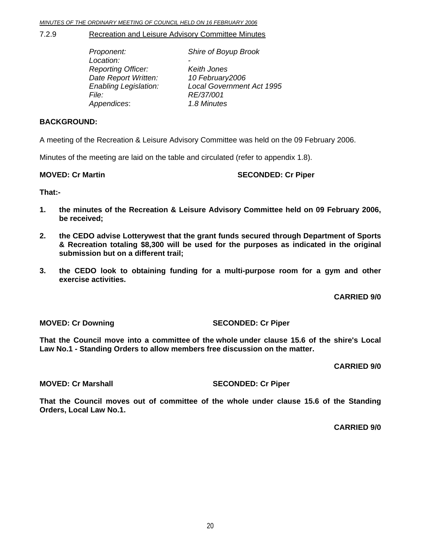#### 7.2.9 Recreation and Leisure Advisory Committee Minutes

| Proponent:                   | Shire of Boyup Brook             |
|------------------------------|----------------------------------|
| Location:                    |                                  |
| <b>Reporting Officer:</b>    | Keith Jones                      |
| Date Report Written:         | 10 February2006                  |
| <b>Enabling Legislation:</b> | <b>Local Government Act 1995</b> |
| File:                        | RE/37/001                        |
| Appendices:                  | 1.8 Minutes                      |
|                              |                                  |

#### **BACKGROUND:**

A meeting of the Recreation & Leisure Advisory Committee was held on the 09 February 2006.

Minutes of the meeting are laid on the table and circulated (refer to appendix 1.8).

**MOVED: Cr Martin SECONDED: Cr Piper and SECONDED: Cr Piper** 

#### **That:-**

- **1. the minutes of the Recreation & Leisure Advisory Committee held on 09 February 2006, be received;**
- **2. the CEDO advise Lotterywest that the grant funds secured through Department of Sports & Recreation totaling \$8,300 will be used for the purposes as indicated in the original submission but on a different trail;**
- **3. the CEDO look to obtaining funding for a multi-purpose room for a gym and other exercise activities.**

**CARRIED 9/0** 

**MOVED: Cr Downing SECONDED: Cr Piper** 

**That the Council move into a committee of the whole under clause 15.6 of the shire's Local Law No.1 - Standing Orders to allow members free discussion on the matter.** 

#### **CARRIED 9/0**

#### **MOVED: Cr Marshall SECONDED: Cr Piper**

**That the Council moves out of committee of the whole under clause 15.6 of the Standing Orders, Local Law No.1.**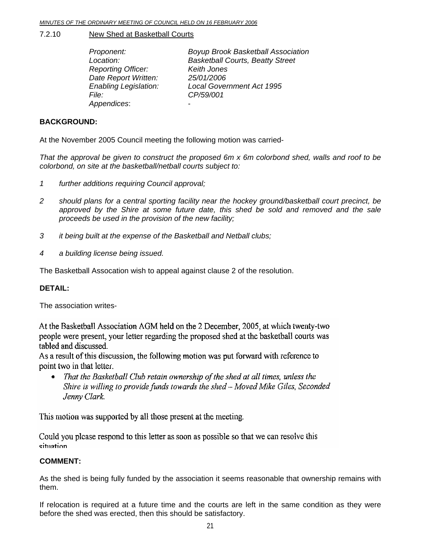#### 7.2.10 New Shed at Basketball Courts

 *Proponent: Boyup Brook Basketball Association Location: Basketball Courts, Beatty Street Reporting Officer: Keith Jones Date Report Written: 25/01/2006 Enabling Legislation: Local Government Act 1995 File: CP/59/001 Appendices*: -

### **BACKGROUND:**

At the November 2005 Council meeting the following motion was carried-

*That the approval be given to construct the proposed 6m x 6m colorbond shed, walls and roof to be colorbond, on site at the basketball/netball courts subject to:* 

- *1 further additions requiring Council approval;*
- *2 should plans for a central sporting facility near the hockey ground/basketball court precinct, be approved by the Shire at some future date, this shed be sold and removed and the sale proceeds be used in the provision of the new facility;*
- *3 it being built at the expense of the Basketball and Netball clubs;*
- *4 a building license being issued.*

The Basketball Assocation wish to appeal against clause 2 of the resolution.

#### **DETAIL:**

The association writes-

At the Basketball Association AGM held on the 2 December, 2005, at which twenty-two people were present, your letter regarding the proposed shed at the basketball courts was tabled and discussed.

As a result of this discussion, the following motion was put forward with reference to point two in that letter.

That the Basketball Club retain ownership of the shed at all times, unless the  $\bullet$ Shire is willing to provide funds towards the shed - Moved Mike Giles, Seconded Jenny Clark.

This motion was supported by all those present at the meeting.

Could you please respond to this letter as soon as possible so that we can resolve this situation

#### **COMMENT:**

As the shed is being fully funded by the association it seems reasonable that ownership remains with them.

If relocation is required at a future time and the courts are left in the same condition as they were before the shed was erected, then this should be satisfactory.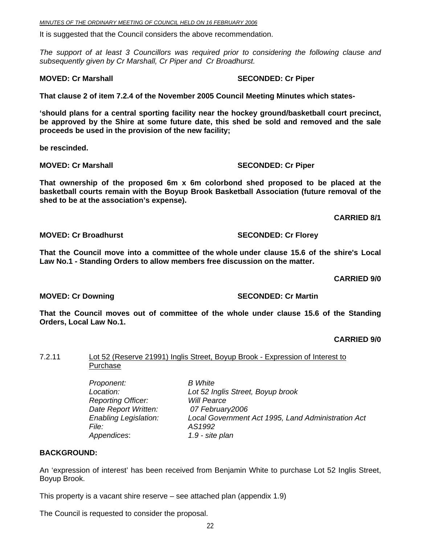It is suggested that the Council considers the above recommendation.

*The support of at least 3 Councillors was required prior to considering the following clause and subsequently given by Cr Marshall, Cr Piper and Cr Broadhurst.* 

**That clause 2 of item 7.2.4 of the November 2005 Council Meeting Minutes which states-** 

**'should plans for a central sporting facility near the hockey ground/basketball court precinct, be approved by the Shire at some future date, this shed be sold and removed and the sale proceeds be used in the provision of the new facility;** 

**be rescinded.** 

**MOVED: Cr Marshall SECONDED: Cr Piper and SECONDED: Cr Piper** 

**That ownership of the proposed 6m x 6m colorbond shed proposed to be placed at the basketball courts remain with the Boyup Brook Basketball Association (future removal of the shed to be at the association's expense).** 

**CARRIED 8/1** 

**MOVED: Cr Broadhurst SECONDED: Cr Florey** 

**That the Council move into a committee of the whole under clause 15.6 of the shire's Local Law No.1 - Standing Orders to allow members free discussion on the matter.** 

 **CARRIED 9/0** 

**MOVED: Cr Downing Case Conducts Account SECONDED: Cr Martin** 

**That the Council moves out of committee of the whole under clause 15.6 of the Standing Orders, Local Law No.1.** 

**CARRIED 9/0** 

#### 7.2.11 Lot 52 (Reserve 21991) Inglis Street, Boyup Brook - Expression of Interest to **Purchase**

| Proponent:                   | <b>B</b> White                                     |
|------------------------------|----------------------------------------------------|
| Location:                    | Lot 52 Inglis Street, Boyup brook                  |
| <b>Reporting Officer:</b>    | <b>Will Pearce</b>                                 |
| Date Report Written:         | 07 February2006                                    |
| <b>Enabling Legislation:</b> | Local Government Act 1995, Land Administration Act |
| <i>File:</i>                 | AS1992                                             |
| Appendices:                  | 1.9 - site plan                                    |
|                              |                                                    |

#### **BACKGROUND:**

An 'expression of interest' has been received from Benjamin White to purchase Lot 52 Inglis Street, Boyup Brook.

This property is a vacant shire reserve – see attached plan (appendix 1.9)

The Council is requested to consider the proposal.

**MOVED: Cr Marshall SECONDED: Cr Piper and SECONDED: Cr Piper**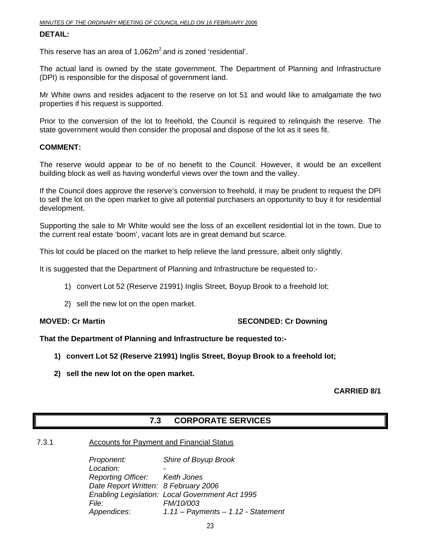#### **DETAIL:**

This reserve has an area of  $1.062m^2$  and is zoned 'residential'.

The actual land is owned by the state government. The Department of Planning and Infrastructure (DPI) is responsible for the disposal of government land.

Mr White owns and resides adjacent to the reserve on lot 51 and would like to amalgamate the two properties if his request is supported.

Prior to the conversion of the lot to freehold, the Council is required to relinquish the reserve. The state government would then consider the proposal and dispose of the lot as it sees fit.

#### **COMMENT:**

The reserve would appear to be of no benefit to the Council. However, it would be an excellent building block as well as having wonderful views over the town and the valley.

If the Council does approve the reserve's conversion to freehold, it may be prudent to request the DPI to sell the lot on the open market to give all potential purchasers an opportunity to buy it for residential development.

Supporting the sale to Mr White would see the loss of an excellent residential lot in the town. Due to the current real estate 'boom', vacant lots are in great demand but scarce.

This lot could be placed on the market to help relieve the land pressure, albeit only slightly.

It is suggested that the Department of Planning and Infrastructure be requested to:-

- 1) convert Lot 52 (Reserve 21991) Inglis Street, Boyup Brook to a freehold lot;
- 2) sell the new lot on the open market.

#### **MOVED: Cr Martin SECONDED: Cr Downing 1999**

#### **That the Department of Planning and Infrastructure be requested to:-**

- **1) convert Lot 52 (Reserve 21991) Inglis Street, Boyup Brook to a freehold lot;**
- **2) sell the new lot on the open market.**

#### **CARRIED 8/1**

### **7.3 CORPORATE SERVICES**

#### 7.3.1 Accounts for Payment and Financial Status

*Proponent: Shire of Boyup Brook*  Location:  *Reporting Officer: Keith Jones Date Report Written: 8 February 2006 Enabling Legislation: Local Government Act 1995 File: FM/10/003 Appendices*: *1.11 – Payments – 1.12 - Statement*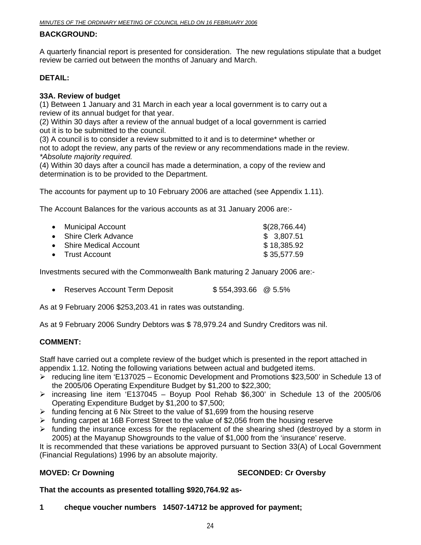#### **BACKGROUND:**

A quarterly financial report is presented for consideration. The new regulations stipulate that a budget review be carried out between the months of January and March.

### **DETAIL:**

#### **33A. Review of budget**

(1) Between 1 January and 31 March in each year a local government is to carry out a review of its annual budget for that year.

(2) Within 30 days after a review of the annual budget of a local government is carried out it is to be submitted to the council.

(3) A council is to consider a review submitted to it and is to determine\* whether or not to adopt the review, any parts of the review or any recommendations made in the review. *\*Absolute majority required.* 

(4) Within 30 days after a council has made a determination, a copy of the review and determination is to be provided to the Department.

The accounts for payment up to 10 February 2006 are attached (see Appendix 1.11).

The Account Balances for the various accounts as at 31 January 2006 are:-

| • Municipal Account     | \$(28,766.44) |
|-------------------------|---------------|
| • Shire Clerk Advance   | \$3,807.51    |
| • Shire Medical Account | \$18,385.92   |
| • Trust Account         | \$35,577.59   |
|                         |               |

Investments secured with the Commonwealth Bank maturing 2 January 2006 are:-

• Reserves Account Term Deposit  $$554,393.66 \@ 5.5\%$ 

As at 9 February 2006 \$253,203.41 in rates was outstanding.

As at 9 February 2006 Sundry Debtors was \$ 78,979.24 and Sundry Creditors was nil.

#### **COMMENT:**

Staff have carried out a complete review of the budget which is presented in the report attached in appendix 1.12. Noting the following variations between actual and budgeted items.

- ¾ reducing line item 'E137025 Economic Development and Promotions \$23,500' in Schedule 13 of the 2005/06 Operating Expenditure Budget by \$1,200 to \$22,300;
- $\triangleright$  increasing line item 'E137045 Boyup Pool Rehab \$6,300' in Schedule 13 of the 2005/06 Operating Expenditure Budget by \$1,200 to \$7,500;
- $\triangleright$  funding fencing at 6 Nix Street to the value of \$1,699 from the housing reserve
- $\triangleright$  funding carpet at 16B Forrest Street to the value of \$2,056 from the housing reserve
- $\triangleright$  funding the insurance excess for the replacement of the shearing shed (destroyed by a storm in 2005) at the Mayanup Showgrounds to the value of \$1,000 from the 'insurance' reserve.

It is recommended that these variations be approved pursuant to Section 33(A) of Local Government (Financial Regulations) 1996 by an absolute majority.

### **MOVED: Cr Downing Case Conduct Act Act SECONDED: Cr Oversby**

#### **That the accounts as presented totalling \$920,764.92 as-**

**1 cheque voucher numbers 14507-14712 be approved for payment;**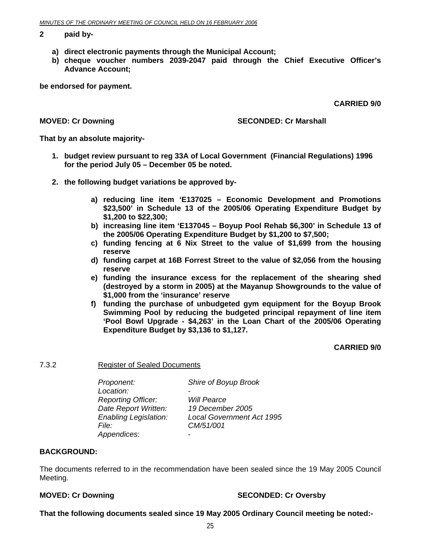#### **2 paid by-**

- **a) direct electronic payments through the Municipal Account;**
- **b) cheque voucher numbers 2039-2047 paid through the Chief Executive Officer's Advance Account;**

**be endorsed for payment.** 

**CARRIED 9/0** 

#### **MOVED: Cr Downing Case Conducts Account SECONDED: Cr Marshall**

**That by an absolute majority-**

- **1. budget review pursuant to reg 33A of Local Government (Financial Regulations) 1996 for the period July 05 – December 05 be noted.**
- **2. the following budget variations be approved by**
	- **a) reducing line item 'E137025 Economic Development and Promotions \$23,500' in Schedule 13 of the 2005/06 Operating Expenditure Budget by \$1,200 to \$22,300;**
	- **b) increasing line item 'E137045 Boyup Pool Rehab \$6,300' in Schedule 13 of the 2005/06 Operating Expenditure Budget by \$1,200 to \$7,500;**
	- **c) funding fencing at 6 Nix Street to the value of \$1,699 from the housing reserve**
	- **d) funding carpet at 16B Forrest Street to the value of \$2,056 from the housing reserve**
	- **e) funding the insurance excess for the replacement of the shearing shed (destroyed by a storm in 2005) at the Mayanup Showgrounds to the value of \$1,000 from the 'insurance' reserve**
	- **f) funding the purchase of unbudgeted gym equipment for the Boyup Brook Swimming Pool by reducing the budgeted principal repayment of line item 'Pool Bowl Upgrade - \$4,263' in the Loan Chart of the 2005/06 Operating Expenditure Budget by \$3,136 to \$1,127.**

**CARRIED 9/0** 

7.3.2 Register of Sealed Documents

| Proponent:                   | Shire of Boyup Brook             |
|------------------------------|----------------------------------|
| Location:                    |                                  |
| <b>Reporting Officer:</b>    | <b>Will Pearce</b>               |
| Date Report Written:         | 19 December 2005                 |
| <b>Enabling Legislation:</b> | <b>Local Government Act 1995</b> |
| File:                        | CM/51/001                        |
| Appendices:                  |                                  |

#### **BACKGROUND:**

The documents referred to in the recommendation have been sealed since the 19 May 2005 Council Meeting.

#### **MOVED: Cr Downing**  $\qquad \qquad$  **SECONDED: Cr Oversby**

**That the following documents sealed since 19 May 2005 Ordinary Council meeting be noted:-**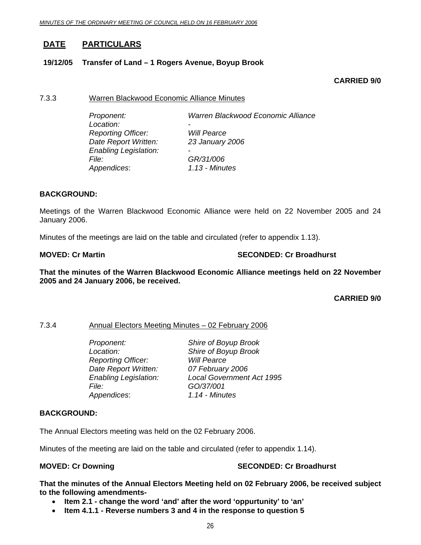### **DATE PARTICULARS**

#### **19/12/05 Transfer of Land – 1 Rogers Avenue, Boyup Brook**

#### **CARRIED 9/0**

#### 7.3.3 Warren Blackwood Economic Alliance Minutes

 *Proponent: Warren Blackwood Economic Alliance*  Location:  *Reporting Officer: Will Pearce Date Report Written: 23 January 2006 Enabling Legislation: - File: GR/31/006 Appendices*: *1.13 - Minutes* 

#### **BACKGROUND:**

Meetings of the Warren Blackwood Economic Alliance were held on 22 November 2005 and 24 January 2006.

Minutes of the meetings are laid on the table and circulated (refer to appendix 1.13).

#### **MOVED: Cr Martin SECONDED: Cr Broadhurst**  SECONDED: Cr Broadhurst

**That the minutes of the Warren Blackwood Economic Alliance meetings held on 22 November 2005 and 24 January 2006, be received.** 

**CARRIED 9/0** 

#### 7.3.4 Annual Electors Meeting Minutes – 02 February 2006

 *Proponent: Shire of Boyup Brook Location: Shire of Boyup Brook Reporting Officer: Will Pearce Date Report Written: 07 February 2006 File: GO/37/001 Appendices*: *1.14 - Minutes*

 *Enabling Legislation: Local Government Act 1995* 

#### **BACKGROUND:**

The Annual Electors meeting was held on the 02 February 2006.

Minutes of the meeting are laid on the table and circulated (refer to appendix 1.14).

#### **MOVED: Cr Downing Case Conduct 2018 SECONDED: Cr Broadhurst**

**That the minutes of the Annual Electors Meeting held on 02 February 2006, be received subject to the following amendments-** 

- **Item 2.1 change the word 'and' after the word 'oppurtunity' to 'an'**
- **Item 4.1.1 Reverse numbers 3 and 4 in the response to question 5**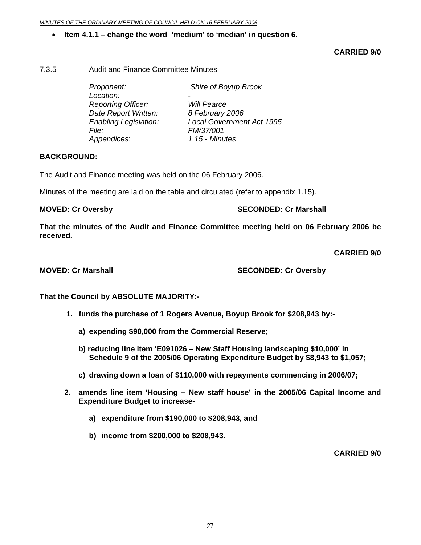#### • **Item 4.1.1 – change the word 'medium' to 'median' in question 6.**

**CARRIED 9/0** 

#### 7.3.5 Audit and Finance Committee Minutes

| Proponent:                   | Shire of Boyup Brook             |
|------------------------------|----------------------------------|
| Location:                    |                                  |
| <b>Reporting Officer:</b>    | <b>Will Pearce</b>               |
| Date Report Written:         | 8 February 2006                  |
| <b>Enabling Legislation:</b> | <b>Local Government Act 1995</b> |
| File:                        | FM/37/001                        |
| Appendices:                  | 1.15 - Minutes                   |
|                              |                                  |

#### **BACKGROUND:**

The Audit and Finance meeting was held on the 06 February 2006.

Minutes of the meeting are laid on the table and circulated (refer to appendix 1.15).

**MOVED: Cr Oversby SECONDED: Cr Marshall** 

**That the minutes of the Audit and Finance Committee meeting held on 06 February 2006 be received.** 

**CARRIED 9/0** 

#### **MOVED: Cr Marshall SECONDED: Cr Oversby**

**That the Council by ABSOLUTE MAJORITY:-** 

- **1. funds the purchase of 1 Rogers Avenue, Boyup Brook for \$208,943 by:** 
	- **a) expending \$90,000 from the Commercial Reserve;**
	- **b) reducing line item 'E091026 New Staff Housing landscaping \$10,000' in Schedule 9 of the 2005/06 Operating Expenditure Budget by \$8,943 to \$1,057;**
	- **c) drawing down a loan of \$110,000 with repayments commencing in 2006/07;**
- **2. amends line item 'Housing New staff house' in the 2005/06 Capital Income and Expenditure Budget to increase**
	- **a) expenditure from \$190,000 to \$208,943, and**
	- **b) income from \$200,000 to \$208,943.**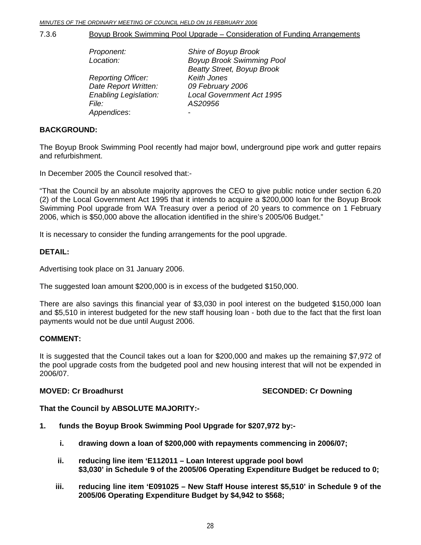7.3.6 Boyup Brook Swimming Pool Upgrade – Consideration of Funding Arrangements

| Proponent:                   | Shire of Boyup Brook              |
|------------------------------|-----------------------------------|
| Location:                    | <b>Boyup Brook Swimming Pool</b>  |
|                              | <b>Beatty Street, Boyup Brook</b> |
| <b>Reporting Officer:</b>    | <b>Keith Jones</b>                |
| Date Report Written:         | 09 February 2006                  |
| <b>Enabling Legislation:</b> | <b>Local Government Act 1995</b>  |
| <i>File:</i>                 | AS20956                           |
| Appendices:                  |                                   |

#### **BACKGROUND:**

The Boyup Brook Swimming Pool recently had major bowl, underground pipe work and gutter repairs and refurbishment.

In December 2005 the Council resolved that:-

"That the Council by an absolute majority approves the CEO to give public notice under section 6.20 (2) of the Local Government Act 1995 that it intends to acquire a \$200,000 loan for the Boyup Brook Swimming Pool upgrade from WA Treasury over a period of 20 years to commence on 1 February 2006, which is \$50,000 above the allocation identified in the shire's 2005/06 Budget."

It is necessary to consider the funding arrangements for the pool upgrade.

#### **DETAIL:**

Advertising took place on 31 January 2006.

The suggested loan amount \$200,000 is in excess of the budgeted \$150,000.

There are also savings this financial year of \$3,030 in pool interest on the budgeted \$150,000 loan and \$5,510 in interest budgeted for the new staff housing loan - both due to the fact that the first loan payments would not be due until August 2006.

#### **COMMENT:**

It is suggested that the Council takes out a loan for \$200,000 and makes up the remaining \$7,972 of the pool upgrade costs from the budgeted pool and new housing interest that will not be expended in 2006/07.

#### **MOVED: Cr Broadhurst SECONDED: Cr Downing COVED: Cr Downing 3.5 SECONDED: Cr Downing 3.5 SECONDED: Cr Downing 3.5 SECONDED: Cr Downing 3.5 SECONDED: Cr Downing 3.5 SECONDED: Cr Downing 3.5 SECONDED: Cr Downing 3.5 SECONDE**

#### **That the Council by ABSOLUTE MAJORITY:-**

- **1. funds the Boyup Brook Swimming Pool Upgrade for \$207,972 by:** 
	- **i. drawing down a loan of \$200,000 with repayments commencing in 2006/07;**
	- **ii. reducing line item 'E112011 Loan Interest upgrade pool bowl \$3,030' in Schedule 9 of the 2005/06 Operating Expenditure Budget be reduced to 0;**
	- **iii. reducing line item 'E091025 New Staff House interest \$5,510' in Schedule 9 of the 2005/06 Operating Expenditure Budget by \$4,942 to \$568;**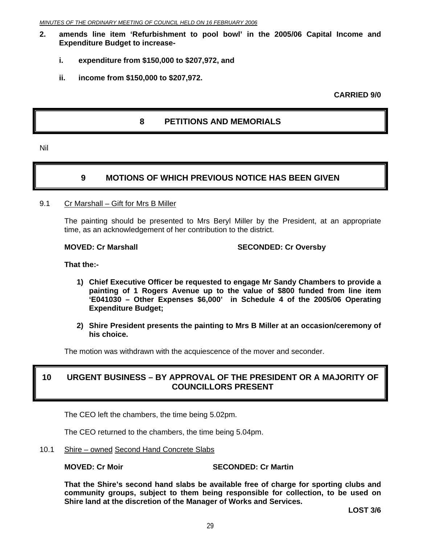- **2. amends line item 'Refurbishment to pool bowl' in the 2005/06 Capital Income and Expenditure Budget to increase**
	- **i. expenditure from \$150,000 to \$207,972, and**
	- **ii. income from \$150,000 to \$207,972.**

**CARRIED 9/0** 

### **8 PETITIONS AND MEMORIALS**

Nil

### **9 MOTIONS OF WHICH PREVIOUS NOTICE HAS BEEN GIVEN**

9.1 Cr Marshall – Gift for Mrs B Miller

The painting should be presented to Mrs Beryl Miller by the President, at an appropriate time, as an acknowledgement of her contribution to the district.

**MOVED: Cr Marshall SECONDED: Cr Oversby** 

**That the:-** 

- **1) Chief Executive Officer be requested to engage Mr Sandy Chambers to provide a painting of 1 Rogers Avenue up to the value of \$800 funded from line item 'E041030 – Other Expenses \$6,000' in Schedule 4 of the 2005/06 Operating Expenditure Budget;**
- **2) Shire President presents the painting to Mrs B Miller at an occasion/ceremony of his choice.**

The motion was withdrawn with the acquiescence of the mover and seconder.

### **10 URGENT BUSINESS – BY APPROVAL OF THE PRESIDENT OR A MAJORITY OF COUNCILLORS PRESENT**

The CEO left the chambers, the time being 5.02pm.

The CEO returned to the chambers, the time being 5.04pm.

10.1 Shire – owned Second Hand Concrete Slabs

#### **MOVED: Cr Moir Case Conduct Account SECONDED: Cr Martin**

**That the Shire's second hand slabs be available free of charge for sporting clubs and community groups, subject to them being responsible for collection, to be used on Shire land at the discretion of the Manager of Works and Services.** 

**LOST 3/6**